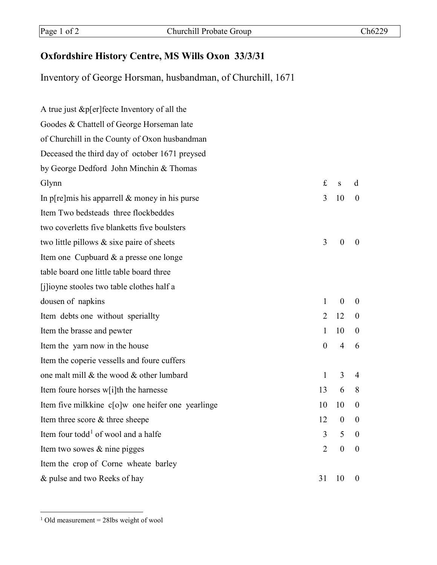## **Oxfordshire History Centre, MS Wills Oxon 33/3/31**

Inventory of George Horsman, husbandman, of Churchill, 1671

| A true just & p[er] fecte Inventory of all the    |                  |                  |                  |
|---------------------------------------------------|------------------|------------------|------------------|
| Goodes & Chattell of George Horseman late         |                  |                  |                  |
| of Churchill in the County of Oxon husbandman     |                  |                  |                  |
| Deceased the third day of october 1671 preysed    |                  |                  |                  |
| by George Dedford John Minchin & Thomas           |                  |                  |                  |
| Glynn                                             | £                | S                | d                |
| In p[re]mis his apparrell $\&$ money in his purse | 3                | 10               | $\boldsymbol{0}$ |
| Item Two bedsteads three flockbeddes              |                  |                  |                  |
| two coverletts five blanketts five boulsters      |                  |                  |                  |
| two little pillows $\&$ sixe paire of sheets      | 3                | $\theta$         | $\theta$         |
| Item one Cupbuard & a presse one longe            |                  |                  |                  |
| table board one little table board three          |                  |                  |                  |
| [j]ioyne stooles two table clothes half a         |                  |                  |                  |
| dousen of napkins                                 | 1                | $\boldsymbol{0}$ | $\boldsymbol{0}$ |
| Item debts one without speriallty                 | $\overline{2}$   | 12               | $\boldsymbol{0}$ |
| Item the brasse and pewter                        | 1                | 10               | $\boldsymbol{0}$ |
| Item the yarn now in the house                    | $\boldsymbol{0}$ | $\overline{4}$   | 6                |
| Item the coperie vessells and foure cuffers       |                  |                  |                  |
| one malt mill & the wood & other lumbard          | $\mathbf{1}$     | 3                | 4                |
| Item foure horses w[i]th the harnesse             | 13               | 6                | 8                |
| Item five milkkine c[o]w one heifer one yearlinge | 10               | 10               | $\boldsymbol{0}$ |
| Item three score & three sheepe                   | 12               | $\boldsymbol{0}$ | $\boldsymbol{0}$ |
| Item four todd <sup>1</sup> of wool and a halfe   | 3                | 5                | $\theta$         |
| Item two sowes & nine pigges                      | 2                | $\boldsymbol{0}$ | $\boldsymbol{0}$ |
| Item the crop of Corne wheate barley              |                  |                  |                  |
| & pulse and two Reeks of hay                      | 31               | 10               | $\theta$         |

<span id="page-0-0"></span> $1$  Old measurement = 28lbs weight of wool